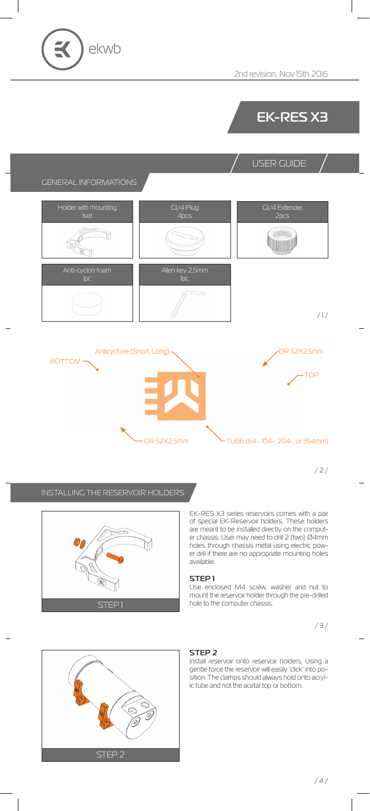

USER GUIDE

# **EK-RES X3**

## GENERAL INFORMATIONS G1/4 Plug Holder with mounting G1/4 Extender 1set 4pcs 2pcs **South Section** Î I  $\mathbb{Z}$  $\mathbb{R}$ Anti-cyclon foam Allen key 2,5mm 1pc 1pc  $/$  1  $/$ Anticyclone (Short, Long) OR 52X2,5mm BOTTOM TOP OR 52X2,5mm TUBE (64-, 104-, 204-, or 354mm)

### INSTALLING THE RESERVOIR HOLDERS



EK-RES X3 series reservoirs comes with a pair of special EK-Reservoir holders. These holders are meant to be installed directly on the computer chassis. User may need to drill 2 (two) Ø4mm holes through chassis metal using electric power drill if there are no appropriate mounting holes available.

#### **STEP 1**

Use enclosed M4 screw, washer and nut to mount the reservoir holder through the pre-drilled

/ 3 /

/ 2 /



#### **STEP 2**

Install reservoir onto reservoir holders. Using a gentle force the reservoir will easily 'click' into position. The clamps should always hold onto acrylic tube and not the acetal top or bottom.